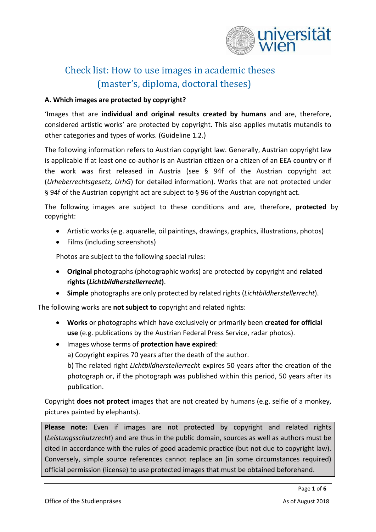

# Check list: How to use images in academic theses (master's, diploma, doctoral theses)

### **A. Which images are protected by copyright?**

'Images that are **individual and original results created by humans** and are, therefore, considered artistic works' are protected by copyright. This also applies mutatis mutandis to other categories and types of works. (Guideline 1.2.)

The following information refers to Austrian copyright law. Generally, Austrian copyright law is applicable if at least one co-author is an Austrian citizen or a citizen of an EEA country or if the work was first released in Austria (see § 94f of the Austrian copyright act (*Urheberrechtsgesetz, UrhG*) for detailed information). Works that are not protected under § 94f of the Austrian copyright act are subject to § 96 of the Austrian copyright act.

The following images are subject to these conditions and are, therefore, **protected** by copyright:

- Artistic works (e.g. aquarelle, oil paintings, drawings, graphics, illustrations, photos)
- Films (including screenshots)

Photos are subject to the following special rules:

- **Original** photographs (photographic works) are protected by copyright and **related rights (***Lichtbildherstellerrecht***)**.
- **Simple** photographs are only protected by related rights (*Lichtbildherstellerrecht*).

The following works are **not subject to** copyright and related rights:

- **Works** or photographs which have exclusively or primarily been **created for official use** (e.g. publications by the Austrian Federal Press Service, radar photos).
- Images whose terms of **protection have expired**:

a) Copyright expires 70 years after the death of the author.

b) The related right *Lichtbildherstellerrech*t expires 50 years after the creation of the photograph or, if the photograph was published within this period, 50 years after its publication.

Copyright **does not protect** images that are not created by humans (e.g. selfie of a monkey, pictures painted by elephants).

**Please note:** Even if images are not protected by copyright and related rights (*Leistungsschutzrecht*) and are thus in the public domain, sources as well as authors must be cited in accordance with the rules of good academic practice (but not due to copyright law). Conversely, simple source references cannot replace an (in some circumstances required) official permission (license) to use protected images that must be obtained beforehand.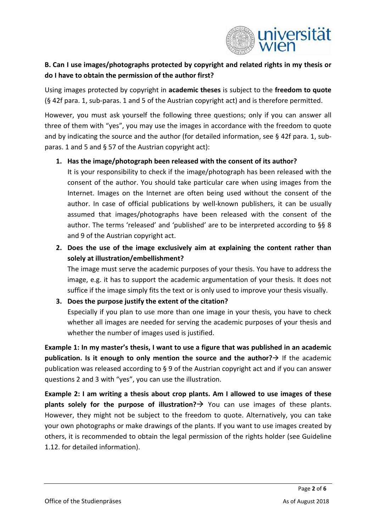

# **B. Can I use images/photographs protected by copyright and related rights in my thesis or do I have to obtain the permission of the author first?**

Using images protected by copyright in **academic theses** is subject to the **freedom to quote** (§ 42f para. 1, sub-paras. 1 and 5 of the Austrian copyright act) and is therefore permitted.

However, you must ask yourself the following three questions; only if you can answer all three of them with "yes", you may use the images in accordance with the freedom to quote and by indicating the source and the author (for detailed information, see § 42f para. 1, subparas. 1 and 5 and § 57 of the Austrian copyright act):

# **1. Has the image/photograph been released with the consent of its author?**

It is your responsibility to check if the image/photograph has been released with the consent of the author. You should take particular care when using images from the Internet. Images on the Internet are often being used without the consent of the author. In case of official publications by well-known publishers, it can be usually assumed that images/photographs have been released with the consent of the author. The terms 'released' and 'published' are to be interpreted according to §§ 8 and 9 of the Austrian copyright act.

**2. Does the use of the image exclusively aim at explaining the content rather than solely at illustration/embellishment?**

The image must serve the academic purposes of your thesis. You have to address the image, e.g. it has to support the academic argumentation of your thesis. It does not suffice if the image simply fits the text or is only used to improve your thesis visually.

# **3. Does the purpose justify the extent of the citation?**

Especially if you plan to use more than one image in your thesis, you have to check whether all images are needed for serving the academic purposes of your thesis and whether the number of images used is justified.

**Example 1: In my master's thesis, I want to use a figure that was published in an academic publication. Is it enough to only mention the source and the author?**  $\rightarrow$  If the academic publication was released according to § 9 of the Austrian copyright act and if you can answer questions 2 and 3 with "yes", you can use the illustration.

**Example 2: I am writing a thesis about crop plants. Am I allowed to use images of these plants solely for the purpose of illustration?** You can use images of these plants. However, they might not be subject to the freedom to quote. Alternatively, you can take your own photographs or make drawings of the plants. If you want to use images created by others, it is recommended to obtain the legal permission of the rights holder (see Guideline 1.12. for detailed information).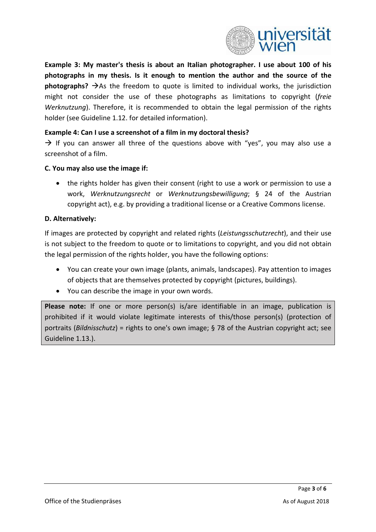

**Example 3: My master's thesis is about an Italian photographer. I use about 100 of his photographs in my thesis. Is it enough to mention the author and the source of the photographs?**  $\rightarrow$  As the freedom to quote is limited to individual works, the jurisdiction might not consider the use of these photographs as limitations to copyright (*freie Werknutzung*). Therefore, it is recommended to obtain the legal permission of the rights holder (see Guideline 1.12. for detailed information).

#### **Example 4: Can I use a screenshot of a film in my doctoral thesis?**

 $\rightarrow$  If you can answer all three of the questions above with "yes", you may also use a screenshot of a film.

#### **C. You may also use the image if:**

• the rights holder has given their consent (right to use a work or permission to use a work, *Werknutzungsrecht* or *Werknutzungsbewilligung*; § 24 of the Austrian copyright act), e.g. by providing a traditional license or a Creative Commons license.

#### **D. Alternatively:**

If images are protected by copyright and related rights (*Leistungsschutzrecht*), and their use is not subject to the freedom to quote or to limitations to copyright, and you did not obtain the legal permission of the rights holder, you have the following options:

- You can create your own image (plants, animals, landscapes). Pay attention to images of objects that are themselves protected by copyright (pictures, buildings).
- You can describe the image in your own words.

**Please note:** If one or more person(s) is/are identifiable in an image, publication is prohibited if it would violate legitimate interests of this/those person(s) (protection of portraits (*Bildnisschutz*) = rights to one's own image; § 78 of the Austrian copyright act; see Guideline 1.13.).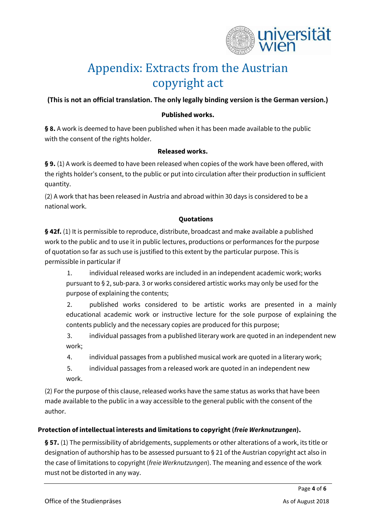

# Appendix: Extracts from the Austrian copyright act

## **(This is not an official translation. The only legally binding version is the German version.)**

#### **Published works.**

**§ 8.** A work is deemed to have been published when it has been made available to the public with the consent of the rights holder.

#### **Released works.**

**§ 9.** (1) A work is deemed to have been released when copies of the work have been offered, with the rights holder's consent, to the public or put into circulation after their production in sufficient quantity.

(2) A work that has been released in Austria and abroad within 30 days is considered to be a national work.

#### **Quotations**

**§ 42f.** (1) It is permissible to reproduce, distribute, broadcast and make available a published work to the public and to use it in public lectures, productions or performances for the purpose of quotation so far as such use is justified to this extent by the particular purpose. This is permissible in particular if

1. individual released works are included in an independent academic work; works pursuant to § 2, sub-para. 3 or works considered artistic works may only be used for the purpose of explaining the contents;

2. published works considered to be artistic works are presented in a mainly educational academic work or instructive lecture for the sole purpose of explaining the contents publicly and the necessary copies are produced for this purpose;

3. individual passages from a published literary work are quoted in an independent new work;

4. individual passages from a published musical work are quoted in a literary work;

5. individual passages from a released work are quoted in an independent new work.

(2) For the purpose of this clause, released works have the same status as works that have been made available to the public in a way accessible to the general public with the consent of the author.

### **Protection of intellectual interests and limitations to copyright (***freie Werknutzungen***).**

**§ 57.** (1) The permissibility of abridgements, supplements or other alterations of a work, its title or designation of authorship has to be assessed pursuant to § 21 of the Austrian copyright act also in the case of limitations to copyright (*freie Werknutzungen*). The meaning and essence of the work must not be distorted in any way.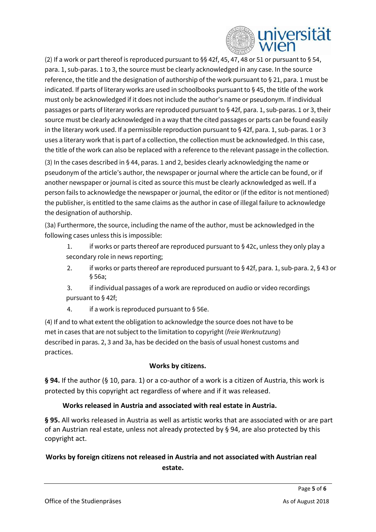

(2) If a work or part thereof is reproduced pursuant to §§ 42f, 45, 47, 48 or 51 or pursuant to § 54, para. 1, sub-paras. 1 to 3, the source must be clearly acknowledged in any case. In the source reference, the title and the designation of authorship of the work pursuant to § 21, para. 1 must be indicated. If parts of literary works are used in schoolbooks pursuant to § 45, the title of the work must only be acknowledged if it does not include the author's name or pseudonym. If individual passages or parts of literary works are reproduced pursuant to § 42f, para. 1, sub-paras. 1 or 3, their source must be clearly acknowledged in a way that the cited passages or parts can be found easily in the literary work used. If a permissible reproduction pursuant to § 42f, para. 1, sub-paras. 1 or 3 uses a literary work that is part of a collection, the collection must be acknowledged. In this case, the title of the work can also be replaced with a reference to the relevant passage in the collection.

(3) In the cases described in § 44, paras. 1 and 2, besides clearly acknowledging the name or pseudonym of the article's author, the newspaper or journal where the article can be found, or if another newspaper or journal is cited as source this must be clearly acknowledged as well. If a person fails to acknowledge the newspaper or journal, the editor or (if the editor is not mentioned) the publisher, is entitled to the same claims as the author in case of illegal failure to acknowledge the designation of authorship.

(3a) Furthermore, the source, including the name of the author, must be acknowledged in the following cases unless this is impossible:

- 1. if works or parts thereof are reproduced pursuant to § 42c, unless they only play a secondary role in news reporting;
- 2. if works or parts thereof are reproduced pursuant to § 42f, para. 1, sub-para. 2, § 43 or § 56a;
- 3. if individual passages of a work are reproduced on audio or video recordings pursuant to § 42f;
- 4. if a work is reproduced pursuant to § 56e.

(4) If and to what extent the obligation to acknowledge the source does not have to be met in cases that are not subject to the limitation to copyright (*freie Werknutzung*) described in paras. 2, 3 and 3a, has be decided on the basis of usual honest customs and practices.

### **Works by citizens.**

**§ 94.** If the author (§ 10, para. 1) or a co-author of a work is a citizen of Austria, this work is protected by this copyright act regardless of where and if it was released.

### **Works released in Austria and associated with real estate in Austria.**

**§ 95.** All works released in Austria as well as artistic works that are associated with or are part of an Austrian real estate, unless not already protected by § 94, are also protected by this copyright act.

# **Works by foreign citizens not released in Austria and not associated with Austrian real estate.**